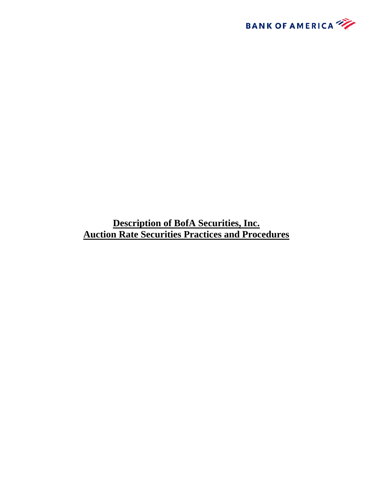

**Description of BofA Securities, Inc. Auction Rate Securities Practices and Procedures**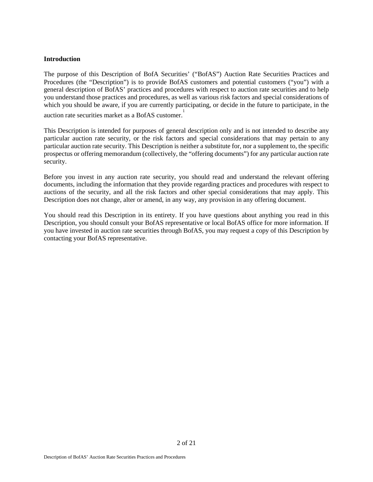#### **Introduction**

The purpose of this Description of BofA Securities' ("BofAS") Auction Rate Securities Practices and Procedures (the "Description") is to provide BofAS customers and potential customers ("you") with a general description of BofAS' practices and procedures with respect to auction rate securities and to help you understand those practices and procedures, as well as various risk factors and special considerations of which you should be aware, if you are currently participating, or decide in the future to participate, in the auction rate securities market as a BofAS customer.<sup>1</sup>

This Description is intended for purposes of general description only and is not intended to describe any particular auction rate security, or the risk factors and special considerations that may pertain to any particular auction rate security. This Description is neither a substitute for, nor a supplement to, the specific prospectus or offering memorandum (collectively, the "offering documents") for any particular auction rate security.

Before you invest in any auction rate security, you should read and understand the relevant offering documents, including the information that they provide regarding practices and procedures with respect to auctions of the security, and all the risk factors and other special considerations that may apply. This Description does not change, alter or amend, in any way, any provision in any offering document.

You should read this Description in its entirety. If you have questions about anything you read in this Description, you should consult your BofAS representative or local BofAS office for more information. If you have invested in auction rate securities through BofAS, you may request a copy of this Description by contacting your BofAS representative.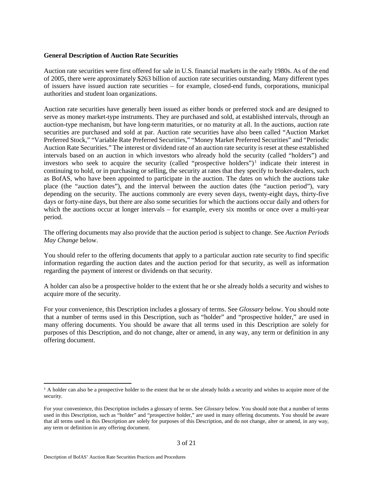#### **General Description of Auction Rate Securities**

Auction rate securities were first offered for sale in U.S. financial markets in the early 1980s. As of the end of 2005, there were approximately \$263 billion of auction rate securities outstanding. Many different types of issuers have issued auction rate securities – for example, closed-end funds, corporations, municipal authorities and student loan organizations.

Auction rate securities have generally been issued as either bonds or preferred stock and are designed to serve as money market-type instruments. They are purchased and sold, at established intervals, through an auction-type mechanism, but have long-term maturities, or no maturity at all. In the auctions, auction rate securities are purchased and sold at par. Auction rate securities have also been called "Auction Market Preferred Stock," "Variable Rate Preferred Securities," "Money Market Preferred Securities" and "Periodic Auction Rate Securities." The interest or dividend rate of an auction rate security is reset at these established intervals based on an auction in which investors who already hold the security (called "holders") and investors who seek to acquire the security (called "prospective holders")<sup>1</sup> indicate their interest in continuing to hold, or in purchasing or selling, the security at rates that they specify to broker-dealers, such as BofAS, who have been appointed to participate in the auction. The dates on which the auctions take place (the "auction dates"), and the interval between the auction dates (the "auction period"), vary depending on the security. The auctions commonly are every seven days, twenty-eight days, thirty-five days or forty-nine days, but there are also some securities for which the auctions occur daily and others for which the auctions occur at longer intervals – for example, every six months or once over a multi-year period.

The offering documents may also provide that the auction period is subject to change. See *Auction Periods May Change* below.

You should refer to the offering documents that apply to a particular auction rate security to find specific information regarding the auction dates and the auction period for that security, as well as information regarding the payment of interest or dividends on that security.

A holder can also be a prospective holder to the extent that he or she already holds a security and wishes to acquire more of the security.

For your convenience, this Description includes a glossary of terms. See *Glossary* below. You should note that a number of terms used in this Description, such as "holder" and "prospective holder," are used in many offering documents. You should be aware that all terms used in this Description are solely for purposes of this Description, and do not change, alter or amend, in any way, any term or definition in any offering document.

 $\overline{a}$ 

 $<sup>1</sup>$  A holder can also be a prospective holder to the extent that he or she already holds a security and wishes to acquire more of the</sup> security.

For your convenience, this Description includes a glossary of terms. See *Glossary* below. You should note that a number of terms used in this Description, such as "holder" and "prospective holder," are used in many offering documents. You should be aware that all terms used in this Description are solely for purposes of this Description, and do not change, alter or amend, in any way, any term or definition in any offering document.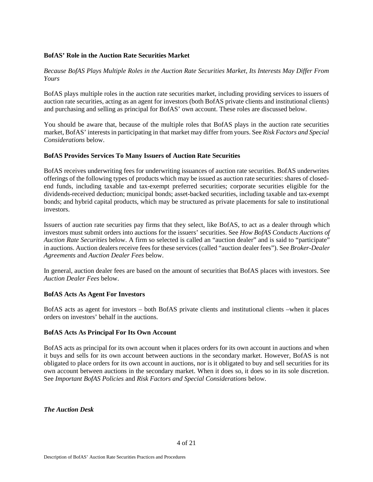## **BofAS' Role in the Auction Rate Securities Market**

*Because BofAS Plays Multiple Roles in the Auction Rate Securities Market, Its Interests May Differ From Yours* 

BofAS plays multiple roles in the auction rate securities market, including providing services to issuers of auction rate securities, acting as an agent for investors (both BofAS private clients and institutional clients) and purchasing and selling as principal for BofAS' own account. These roles are discussed below.

You should be aware that, because of the multiple roles that BofAS plays in the auction rate securities market, BofAS' interests in participating in that market may differ from yours. See *Risk Factors and Special Considerations* below.

## **BofAS Provides Services To Many Issuers of Auction Rate Securities**

BofAS receives underwriting fees for underwriting issuances of auction rate securities. BofAS underwrites offerings of the following types of products which may be issued as auction rate securities: shares of closedend funds, including taxable and tax-exempt preferred securities; corporate securities eligible for the dividends-received deduction; municipal bonds; asset-backed securities, including taxable and tax-exempt bonds; and hybrid capital products, which may be structured as private placements for sale to institutional investors.

Issuers of auction rate securities pay firms that they select, like BofAS, to act as a dealer through which investors must submit orders into auctions for the issuers' securities. See *How BofAS Conducts Auctions of Auction Rate Securities* below. A firm so selected is called an "auction dealer" and is said to "participate" in auctions. Auction dealers receive fees for these services (called "auction dealer fees"). See *Broker-Dealer Agreements* and *Auction Dealer Fees* below.

In general, auction dealer fees are based on the amount of securities that BofAS places with investors. See *Auction Dealer Fees* below.

## **BofAS Acts As Agent For Investors**

BofAS acts as agent for investors – both BofAS private clients and institutional clients –when it places orders on investors' behalf in the auctions.

#### **BofAS Acts As Principal For Its Own Account**

BofAS acts as principal for its own account when it places orders for its own account in auctions and when it buys and sells for its own account between auctions in the secondary market. However, BofAS is not obligated to place orders for its own account in auctions, nor is it obligated to buy and sell securities for its own account between auctions in the secondary market. When it does so, it does so in its sole discretion. See *Important BofAS Policies* and *Risk Factors and Special Considerations* below.

*The Auction Desk*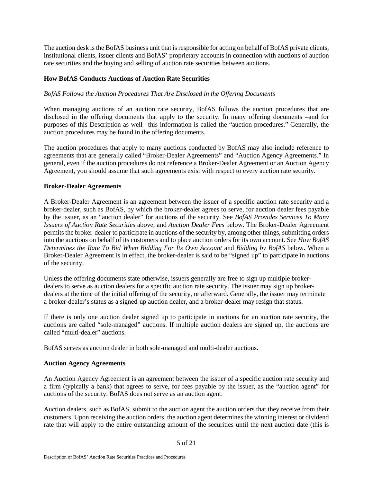The auction desk is the BofAS business unit that is responsible for acting on behalf of BofAS private clients, institutional clients, issuer clients and BofAS' proprietary accounts in connection with auctions of auction rate securities and the buying and selling of auction rate securities between auctions.

## **How BofAS Conducts Auctions of Auction Rate Securities**

# *BofAS Follows the Auction Procedures That Are Disclosed in the Offering Documents*

When managing auctions of an auction rate security, BofAS follows the auction procedures that are disclosed in the offering documents that apply to the security. In many offering documents –and for purposes of this Description as well –this information is called the "auction procedures." Generally, the auction procedures may be found in the offering documents.

The auction procedures that apply to many auctions conducted by BofAS may also include reference to agreements that are generally called "Broker-Dealer Agreements" and "Auction Agency Agreements." In general, even if the auction procedures do not reference a Broker-Dealer Agreement or an Auction Agency Agreement, you should assume that such agreements exist with respect to every auction rate security.

## **Broker-Dealer Agreements**

A Broker-Dealer Agreement is an agreement between the issuer of a specific auction rate security and a broker-dealer, such as BofAS, by which the broker-dealer agrees to serve, for auction dealer fees payable by the issuer, as an "auction dealer" for auctions of the security. See *BofAS Provides Services To Many Issuers of Auction Rate Securities* above, and *Auction Dealer Fees* below. The Broker-Dealer Agreement permits the broker-dealer to participate in auctions of the security by, among other things, submitting orders into the auctions on behalf of its customers and to place auction orders for its own account. See *How BofAS Determines the Rate To Bid When Bidding For Its Own Account* and *Bidding by BofAS* below. When a Broker-Dealer Agreement is in effect, the broker-dealer is said to be "signed up" to participate in auctions of the security.

Unless the offering documents state otherwise, issuers generally are free to sign up multiple brokerdealers to serve as auction dealers for a specific auction rate security. The issuer may sign up brokerdealers at the time of the initial offering of the security, or afterward. Generally, the issuer may terminate a broker-dealer's status as a signed-up auction dealer, and a broker-dealer may resign that status.

If there is only one auction dealer signed up to participate in auctions for an auction rate security, the auctions are called "sole-managed" auctions. If multiple auction dealers are signed up, the auctions are called "multi-dealer" auctions.

BofAS serves as auction dealer in both sole-managed and multi-dealer auctions.

## **Auction Agency Agreements**

An Auction Agency Agreement is an agreement between the issuer of a specific auction rate security and a firm (typically a bank) that agrees to serve, for fees payable by the issuer, as the "auction agent" for auctions of the security. BofAS does not serve as an auction agent.

Auction dealers, such as BofAS, submit to the auction agent the auction orders that they receive from their customers. Upon receiving the auction orders, the auction agent determines the winning interest or dividend rate that will apply to the entire outstanding amount of the securities until the next auction date (this is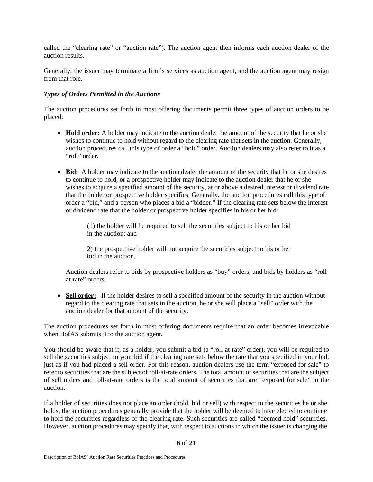called the "clearing rate" or "auction rate"). The auction agent then informs each auction dealer of the auction results.

Generally, the issuer may terminate a firm's services as auction agent, and the auction agent may resign from that role.

## *Types of Orders Permitted in the Auctions*

The auction procedures set forth in most offering documents permit three types of auction orders to be placed:

- **Hold order:** A holder may indicate to the auction dealer the amount of the security that he or she wishes to continue to hold without regard to the clearing rate that sets in the auction. Generally, auction procedures call this type of order a "hold" order. Auction dealers may also refer to it as a "roll" order.
- **Bid:** A holder may indicate to the auction dealer the amount of the security that he or she desires to continue to hold, or a prospective holder may indicate to the auction dealer that he or she wishes to acquire a specified amount of the security, at or above a desired interest or dividend rate that the holder or prospective holder specifies. Generally, the auction procedures call this type of order a "bid," and a person who places a bid a "bidder." If the clearing rate sets below the interest or dividend rate that the holder or prospective holder specifies in his or her bid:

(1) the holder will be required to sell the securities subject to his or her bid in the auction; and

2) the prospective holder will not acquire the securities subject to his or her bid in the auction.

Auction dealers refer to bids by prospective holders as "buy" orders, and bids by holders as "rollat-rate" orders.

• **Sell order:** If the holder desires to sell a specified amount of the security in the auction without regard to the clearing rate that sets in the auction, he or she will place a "sell" order with the auction dealer for that amount of the security.

The auction procedures set forth in most offering documents require that an order becomes irrevocable when BofAS submits it to the auction agent.

You should be aware that if, as a holder, you submit a bid (a "roll-at-rate" order), you will be required to sell the securities subject to your bid if the clearing rate sets below the rate that you specified in your bid, just as if you had placed a sell order. For this reason, auction dealers use the term "exposed for sale" to refer to securities that are the subject of roll-at-rate orders. The total amount of securities that are the subject of sell orders and roll-at-rate orders is the total amount of securities that are "exposed for sale" in the auction.

If a holder of securities does not place an order (hold, bid or sell) with respect to the securities he or she holds, the auction procedures generally provide that the holder will be deemed to have elected to continue to hold the securities regardless of the clearing rate. Such securities are called "deemed hold" securities. However, auction procedures may specify that, with respect to auctions in which the issuer is changing the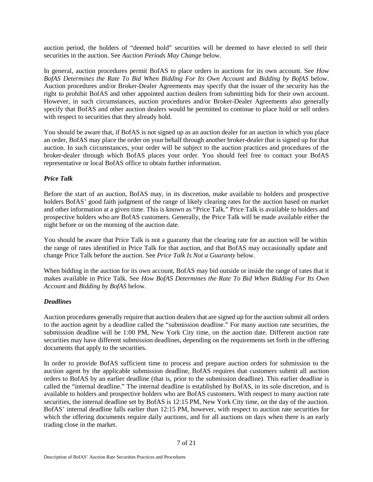auction period, the holders of "deemed hold" securities will be deemed to have elected to sell their securities in the auction. See *Auction Periods May Change* below.

In general, auction procedures permit BofAS to place orders in auctions for its own account. See *How BofAS Determines the Rate To Bid When Bidding For Its Own Account* and *Bidding by BofAS* below. Auction procedures and/or Broker-Dealer Agreements may specify that the issuer of the security has the right to prohibit BofAS and other appointed auction dealers from submitting bids for their own account. However, in such circumstances, auction procedures and/or Broker-Dealer Agreements also generally specify that BofAS and other auction dealers would be permitted to continue to place hold or sell orders with respect to securities that they already hold.

You should be aware that, if BofAS is not signed up as an auction dealer for an auction in which you place an order, BofAS may place the order on your behalf through another broker-dealer that is signed up for that auction. In such circumstances, your order will be subject to the auction practices and procedures of the broker-dealer through which BofAS places your order. You should feel free to contact your BofAS representative or local BofAS office to obtain further information.

# *Price Talk*

Before the start of an auction, BofAS may, in its discretion, make available to holders and prospective holders BofAS' good faith judgment of the range of likely clearing rates for the auction based on market and other information at a given time. This is known as "Price Talk." Price Talk is available to holders and prospective holders who are BofAS customers. Generally, the Price Talk will be made available either the night before or on the morning of the auction date.

You should be aware that Price Talk is not a guaranty that the clearing rate for an auction will be within the range of rates identified in Price Talk for that auction, and that BofAS may occasionally update and change Price Talk before the auction. See *Price Talk Is Not a Guaranty* below.

When bidding in the auction for its own account, BofAS may bid outside or inside the range of rates that it makes available in Price Talk. See *How BofAS Determines the Rate To Bid When Bidding For Its Own Account* and *Bidding by BofAS* below.

## *Deadlines*

Auction procedures generally require that auction dealers that are signed up for the auction submit all orders to the auction agent by a deadline called the "submission deadline." For many auction rate securities, the submission deadline will be 1:00 PM, New York City time, on the auction date. Different auction rate securities may have different submission deadlines, depending on the requirements set forth in the offering documents that apply to the securities.

In order to provide BofAS sufficient time to process and prepare auction orders for submission to the auction agent by the applicable submission deadline, BofAS requires that customers submit all auction orders to BofAS by an earlier deadline (that is, prior to the submission deadline). This earlier deadline is called the "internal deadline." The internal deadline is established by BofAS, in its sole discretion, and is available to holders and prospective holders who are BofAS customers. With respect to many auction rate securities, the internal deadline set by BofAS is 12:15 PM, New York City time, on the day of the auction. BofAS' internal deadline falls earlier than 12:15 PM, however, with respect to auction rate securities for which the offering documents require daily auctions, and for all auctions on days when there is an early trading close in the market.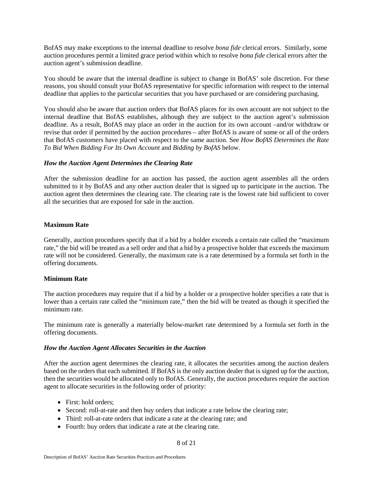BofAS may make exceptions to the internal deadline to resolve *bona fide* clerical errors. Similarly, some auction procedures permit a limited grace period within which to resolve *bona fide* clerical errors after the auction agent's submission deadline.

You should be aware that the internal deadline is subject to change in BofAS' sole discretion. For these reasons, you should consult your BofAS representative for specific information with respect to the internal deadline that applies to the particular securities that you have purchased or are considering purchasing.

You should also be aware that auction orders that BofAS places for its own account are not subject to the internal deadline that BofAS establishes, although they are subject to the auction agent's submission deadline. As a result, BofAS may place an order in the auction for its own account –and/or withdraw or revise that order if permitted by the auction procedures – after BofAS is aware of some or all of the orders that BofAS customers have placed with respect to the same auction. See *How BofAS Determines the Rate To Bid When Bidding For Its Own Account* and *Bidding by BofAS* below.

#### *How the Auction Agent Determines the Clearing Rate*

After the submission deadline for an auction has passed, the auction agent assembles all the orders submitted to it by BofAS and any other auction dealer that is signed up to participate in the auction. The auction agent then determines the clearing rate. The clearing rate is the lowest rate bid sufficient to cover all the securities that are exposed for sale in the auction.

## **Maximum Rate**

Generally, auction procedures specify that if a bid by a holder exceeds a certain rate called the "maximum rate," the bid will be treated as a sell order and that a bid by a prospective holder that exceeds the maximum rate will not be considered. Generally, the maximum rate is a rate determined by a formula set forth in the offering documents.

#### **Minimum Rate**

The auction procedures may require that if a bid by a holder or a prospective holder specifies a rate that is lower than a certain rate called the "minimum rate," then the bid will be treated as though it specified the minimum rate.

The minimum rate is generally a materially below-market rate determined by a formula set forth in the offering documents.

#### *How the Auction Agent Allocates Securities in the Auction*

After the auction agent determines the clearing rate, it allocates the securities among the auction dealers based on the orders that each submitted. If BofAS is the only auction dealer that is signed up for the auction, then the securities would be allocated only to BofAS. Generally, the auction procedures require the auction agent to allocate securities in the following order of priority:

- First: hold orders;
- Second: roll-at-rate and then buy orders that indicate a rate below the clearing rate;
- Third: roll-at-rate orders that indicate a rate at the clearing rate; and
- Fourth: buy orders that indicate a rate at the clearing rate.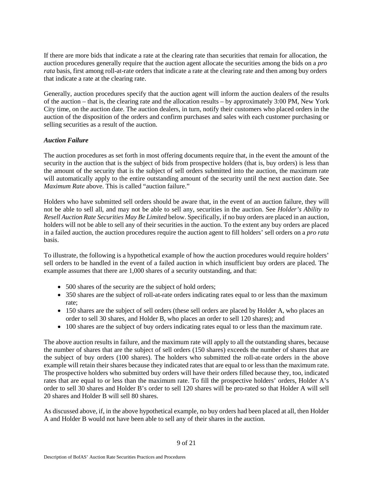If there are more bids that indicate a rate at the clearing rate than securities that remain for allocation, the auction procedures generally require that the auction agent allocate the securities among the bids on a *pro rata* basis, first among roll-at-rate orders that indicate a rate at the clearing rate and then among buy orders that indicate a rate at the clearing rate.

Generally, auction procedures specify that the auction agent will inform the auction dealers of the results of the auction – that is, the clearing rate and the allocation results – by approximately 3:00 PM, New York City time, on the auction date. The auction dealers, in turn, notify their customers who placed orders in the auction of the disposition of the orders and confirm purchases and sales with each customer purchasing or selling securities as a result of the auction.

## *Auction Failure*

The auction procedures as set forth in most offering documents require that, in the event the amount of the security in the auction that is the subject of bids from prospective holders (that is, buy orders) is less than the amount of the security that is the subject of sell orders submitted into the auction, the maximum rate will automatically apply to the entire outstanding amount of the security until the next auction date. See *Maximum Rate* above. This is called "auction failure."

Holders who have submitted sell orders should be aware that, in the event of an auction failure, they will not be able to sell all, and may not be able to sell any, securities in the auction. See *Holder's Ability to Resell Auction Rate Securities May Be Limited* below. Specifically, if no buy orders are placed in an auction, holders will not be able to sell any of their securities in the auction. To the extent any buy orders are placed in a failed auction, the auction procedures require the auction agent to fill holders' sell orders on a *pro rata*  basis.

To illustrate, the following is a hypothetical example of how the auction procedures would require holders' sell orders to be handled in the event of a failed auction in which insufficient buy orders are placed. The example assumes that there are 1,000 shares of a security outstanding, and that:

- 500 shares of the security are the subject of hold orders;
- 350 shares are the subject of roll-at-rate orders indicating rates equal to or less than the maximum rate;
- 150 shares are the subject of sell orders (these sell orders are placed by Holder A, who places an order to sell 30 shares, and Holder B, who places an order to sell 120 shares); and
- 100 shares are the subject of buy orders indicating rates equal to or less than the maximum rate.

The above auction results in failure, and the maximum rate will apply to all the outstanding shares, because the number of shares that are the subject of sell orders (150 shares) exceeds the number of shares that are the subject of buy orders (100 shares). The holders who submitted the roll-at-rate orders in the above example will retain their shares because they indicated rates that are equal to or less than the maximum rate. The prospective holders who submitted buy orders will have their orders filled because they, too, indicated rates that are equal to or less than the maximum rate. To fill the prospective holders' orders, Holder A's order to sell 30 shares and Holder B's order to sell 120 shares will be pro-rated so that Holder A will sell 20 shares and Holder B will sell 80 shares.

As discussed above, if, in the above hypothetical example, no buy orders had been placed at all, then Holder A and Holder B would not have been able to sell any of their shares in the auction.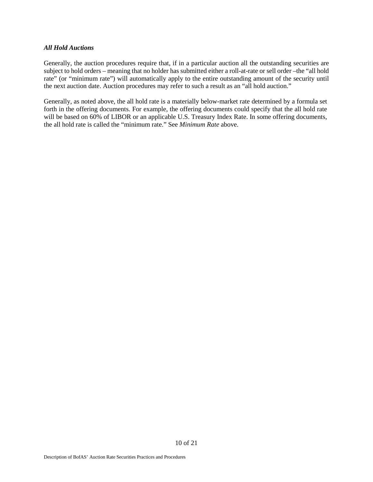#### *All Hold Auctions*

Generally, the auction procedures require that, if in a particular auction all the outstanding securities are subject to hold orders – meaning that no holder has submitted either a roll-at-rate or sell order –the "all hold rate" (or "minimum rate") will automatically apply to the entire outstanding amount of the security until the next auction date. Auction procedures may refer to such a result as an "all hold auction."

Generally, as noted above, the all hold rate is a materially below-market rate determined by a formula set forth in the offering documents. For example, the offering documents could specify that the all hold rate will be based on 60% of LIBOR or an applicable U.S. Treasury Index Rate. In some offering documents, the all hold rate is called the "minimum rate." See *Minimum Rate* above.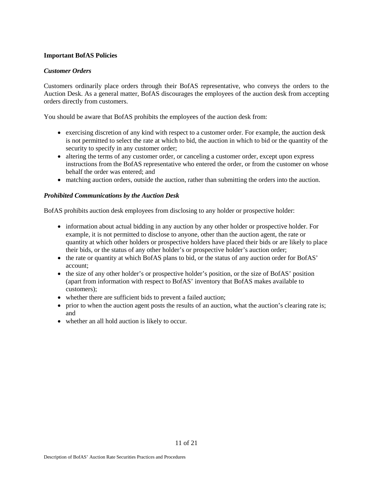## **Important BofAS Policies**

## *Customer Orders*

Customers ordinarily place orders through their BofAS representative, who conveys the orders to the Auction Desk. As a general matter, BofAS discourages the employees of the auction desk from accepting orders directly from customers.

You should be aware that BofAS prohibits the employees of the auction desk from:

- exercising discretion of any kind with respect to a customer order. For example, the auction desk is not permitted to select the rate at which to bid, the auction in which to bid or the quantity of the security to specify in any customer order;
- altering the terms of any customer order, or canceling a customer order, except upon express instructions from the BofAS representative who entered the order, or from the customer on whose behalf the order was entered; and
- matching auction orders, outside the auction, rather than submitting the orders into the auction.

## *Prohibited Communications by the Auction Desk*

BofAS prohibits auction desk employees from disclosing to any holder or prospective holder:

- information about actual bidding in any auction by any other holder or prospective holder. For example, it is not permitted to disclose to anyone, other than the auction agent, the rate or quantity at which other holders or prospective holders have placed their bids or are likely to place their bids, or the status of any other holder's or prospective holder's auction order;
- the rate or quantity at which BofAS plans to bid, or the status of any auction order for BofAS' account;
- the size of any other holder's or prospective holder's position, or the size of BofAS' position (apart from information with respect to BofAS' inventory that BofAS makes available to customers);
- whether there are sufficient bids to prevent a failed auction;
- prior to when the auction agent posts the results of an auction, what the auction's clearing rate is; and
- whether an all hold auction is likely to occur.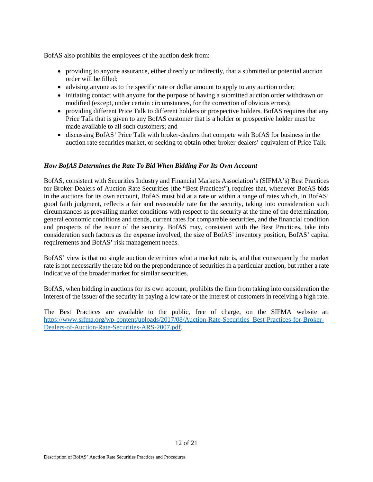BofAS also prohibits the employees of the auction desk from:

- providing to anyone assurance, either directly or indirectly, that a submitted or potential auction order will be filled;
- advising anyone as to the specific rate or dollar amount to apply to any auction order;
- initiating contact with anyone for the purpose of having a submitted auction order withdrawn or modified (except, under certain circumstances, for the correction of obvious errors);
- providing different Price Talk to different holders or prospective holders. BofAS requires that any Price Talk that is given to any BofAS customer that is a holder or prospective holder must be made available to all such customers; and
- discussing BofAS' Price Talk with broker-dealers that compete with BofAS for business in the auction rate securities market, or seeking to obtain other broker-dealers' equivalent of Price Talk.

## *How BofAS Determines the Rate To Bid When Bidding For Its Own Account*

BofAS, consistent with Securities Industry and Financial Markets Association's (SIFMA's) Best Practices for Broker-Dealers of Auction Rate Securities (the "Best Practices"), requires that, whenever BofAS bids in the auctions for its own account, BofAS must bid at a rate or within a range of rates which, in BofAS' good faith judgment, reflects a fair and reasonable rate for the security, taking into consideration such circumstances as prevailing market conditions with respect to the security at the time of the determination, general economic conditions and trends, current rates for comparable securities, and the financial condition and prospects of the issuer of the security. BofAS may, consistent with the Best Practices, take into consideration such factors as the expense involved, the size of BofAS' inventory position, BofAS' capital requirements and BofAS' risk management needs.

BofAS' view is that no single auction determines what a market rate is, and that consequently the market rate is not necessarily the rate bid on the preponderance of securities in a particular auction, but rather a rate indicative of the broader market for similar securities.

BofAS, when bidding in auctions for its own account, prohibits the firm from taking into consideration the interest of the issuer of the security in paying a low rate or the interest of customers in receiving a high rate.

The Best Practices are available to the public, free of charge, on the SIFMA website at: [https://www.sifma.org/wp-content/uploads/2017/08/Auction-Rate-Securities\\_Best-Practices-for-Broker-](https://www.sifma.org/wp-content/uploads/2017/08/Auction-Rate-Securities_Best-Practices-for-Broker-Dealers-of-Auction-Rate-Securities-ARS-2007.pdf)[Dealers-of-Auction-Rate-Securities-ARS-2007.pdf.](https://www.sifma.org/wp-content/uploads/2017/08/Auction-Rate-Securities_Best-Practices-for-Broker-Dealers-of-Auction-Rate-Securities-ARS-2007.pdf)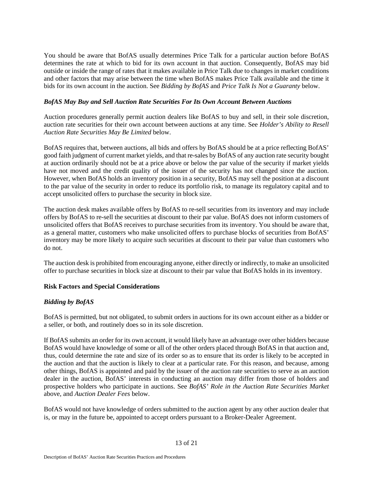You should be aware that BofAS usually determines Price Talk for a particular auction before BofAS determines the rate at which to bid for its own account in that auction. Consequently, BofAS may bid outside or inside the range of rates that it makes available in Price Talk due to changes in market conditions and other factors that may arise between the time when BofAS makes Price Talk available and the time it bids for its own account in the auction. See *Bidding by BofAS* and *Price Talk Is Not a Guaranty* below.

## *BofAS May Buy and Sell Auction Rate Securities For Its Own Account Between Auctions*

Auction procedures generally permit auction dealers like BofAS to buy and sell, in their sole discretion, auction rate securities for their own account between auctions at any time. See *Holder's Ability to Resell Auction Rate Securities May Be Limited* below.

BofAS requires that, between auctions, all bids and offers by BofAS should be at a price reflecting BofAS' good faith judgment of current market yields, and that re-sales by BofAS of any auction rate security bought at auction ordinarily should not be at a price above or below the par value of the security if market yields have not moved and the credit quality of the issuer of the security has not changed since the auction. However, when BofAS holds an inventory position in a security, BofAS may sell the position at a discount to the par value of the security in order to reduce its portfolio risk, to manage its regulatory capital and to accept unsolicited offers to purchase the security in block size.

The auction desk makes available offers by BofAS to re-sell securities from its inventory and may include offers by BofAS to re-sell the securities at discount to their par value. BofAS does not inform customers of unsolicited offers that BofAS receives to purchase securities from its inventory. You should be aware that, as a general matter, customers who make unsolicited offers to purchase blocks of securities from BofAS' inventory may be more likely to acquire such securities at discount to their par value than customers who do not.

The auction desk is prohibited from encouraging anyone, either directly or indirectly, to make an unsolicited offer to purchase securities in block size at discount to their par value that BofAS holds in its inventory.

# **Risk Factors and Special Considerations**

# *Bidding by BofAS*

BofAS is permitted, but not obligated, to submit orders in auctions for its own account either as a bidder or a seller, or both, and routinely does so in its sole discretion.

If BofAS submits an order for its own account, it would likely have an advantage over other bidders because BofAS would have knowledge of some or all of the other orders placed through BofAS in that auction and, thus, could determine the rate and size of its order so as to ensure that its order is likely to be accepted in the auction and that the auction is likely to clear at a particular rate. For this reason, and because, among other things, BofAS is appointed and paid by the issuer of the auction rate securities to serve as an auction dealer in the auction, BofAS' interests in conducting an auction may differ from those of holders and prospective holders who participate in auctions. See *BofAS' Role in the Auction Rate Securities Market*  above, and *Auction Dealer Fees* below.

BofAS would not have knowledge of orders submitted to the auction agent by any other auction dealer that is, or may in the future be, appointed to accept orders pursuant to a Broker-Dealer Agreement.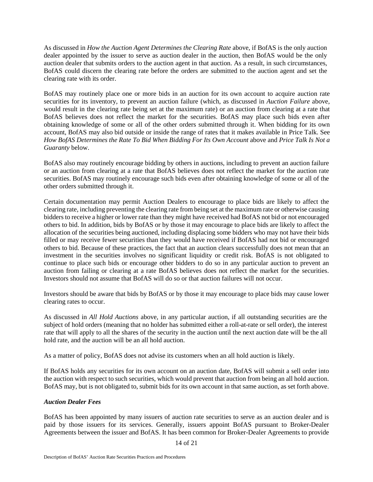As discussed in *How the Auction Agent Determines the Clearing Rate* above, if BofAS is the only auction dealer appointed by the issuer to serve as auction dealer in the auction, then BofAS would be the only auction dealer that submits orders to the auction agent in that auction. As a result, in such circumstances, BofAS could discern the clearing rate before the orders are submitted to the auction agent and set the clearing rate with its order.

BofAS may routinely place one or more bids in an auction for its own account to acquire auction rate securities for its inventory, to prevent an auction failure (which, as discussed in *Auction Failure* above, would result in the clearing rate being set at the maximum rate) or an auction from clearing at a rate that BofAS believes does not reflect the market for the securities. BofAS may place such bids even after obtaining knowledge of some or all of the other orders submitted through it. When bidding for its own account, BofAS may also bid outside or inside the range of rates that it makes available in Price Talk. See *How BofAS Determines the Rate To Bid When Bidding For Its Own Account* above and *Price Talk Is Not a Guaranty* below.

BofAS also may routinely encourage bidding by others in auctions, including to prevent an auction failure or an auction from clearing at a rate that BofAS believes does not reflect the market for the auction rate securities. BofAS may routinely encourage such bids even after obtaining knowledge of some or all of the other orders submitted through it.

Certain documentation may permit Auction Dealers to encourage to place bids are likely to affect the clearing rate, including preventing the clearing rate from being set at the maximum rate or otherwise causing bidders to receive a higher or lower rate than they might have received had BofAS not bid or not encouraged others to bid. In addition, bids by BofAS or by those it may encourage to place bids are likely to affect the allocation of the securities being auctioned, including displacing some bidders who may not have their bids filled or may receive fewer securities than they would have received if BofAS had not bid or encouraged others to bid. Because of these practices, the fact that an auction clears successfully does not mean that an investment in the securities involves no significant liquidity or credit risk. BofAS is not obligated to continue to place such bids or encourage other bidders to do so in any particular auction to prevent an auction from failing or clearing at a rate BofAS believes does not reflect the market for the securities. Investors should not assume that BofAS will do so or that auction failures will not occur.

Investors should be aware that bids by BofAS or by those it may encourage to place bids may cause lower clearing rates to occur.

As discussed in *All Hold Auctions* above, in any particular auction, if all outstanding securities are the subject of hold orders (meaning that no holder has submitted either a roll-at-rate or sell order), the interest rate that will apply to all the shares of the security in the auction until the next auction date will be the all hold rate, and the auction will be an all hold auction.

As a matter of policy, BofAS does not advise its customers when an all hold auction is likely.

If BofAS holds any securities for its own account on an auction date, BofAS will submit a sell order into the auction with respect to such securities, which would prevent that auction from being an all hold auction. BofAS may, but is not obligated to, submit bids for its own account in that same auction, as set forth above.

## *Auction Dealer Fees*

BofAS has been appointed by many issuers of auction rate securities to serve as an auction dealer and is paid by those issuers for its services. Generally, issuers appoint BofAS pursuant to Broker-Dealer Agreements between the issuer and BofAS. It has been common for Broker-Dealer Agreements to provide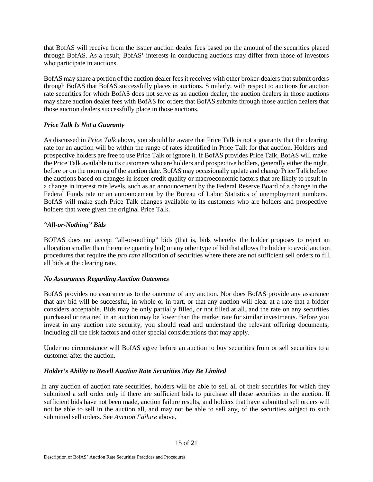that BofAS will receive from the issuer auction dealer fees based on the amount of the securities placed through BofAS. As a result, BofAS' interests in conducting auctions may differ from those of investors who participate in auctions.

BofAS may share a portion of the auction dealer fees it receives with other broker-dealers that submit orders through BofAS that BofAS successfully places in auctions. Similarly, with respect to auctions for auction rate securities for which BofAS does not serve as an auction dealer, the auction dealers in those auctions may share auction dealer fees with BofAS for orders that BofAS submits through those auction dealers that those auction dealers successfully place in those auctions.

## *Price Talk Is Not a Guaranty*

As discussed in *Price Talk* above, you should be aware that Price Talk is not a guaranty that the clearing rate for an auction will be within the range of rates identified in Price Talk for that auction. Holders and prospective holders are free to use Price Talk or ignore it. If BofAS provides Price Talk, BofAS will make the Price Talk available to its customers who are holders and prospective holders, generally either the night before or on the morning of the auction date. BofAS may occasionally update and change Price Talk before the auctions based on changes in issuer credit quality or macroeconomic factors that are likely to result in a change in interest rate levels, such as an announcement by the Federal Reserve Board of a change in the Federal Funds rate or an announcement by the Bureau of Labor Statistics of unemployment numbers. BofAS will make such Price Talk changes available to its customers who are holders and prospective holders that were given the original Price Talk.

## *"All-or-Nothing" Bids*

BOFAS does not accept "all-or-nothing" bids (that is, bids whereby the bidder proposes to reject an allocation smaller than the entire quantity bid) or any other type of bid that allows the bidder to avoid auction procedures that require the *pro rata* allocation of securities where there are not sufficient sell orders to fill all bids at the clearing rate.

## *No Assurances Regarding Auction Outcomes*

BofAS provides no assurance as to the outcome of any auction. Nor does BofAS provide any assurance that any bid will be successful, in whole or in part, or that any auction will clear at a rate that a bidder considers acceptable. Bids may be only partially filled, or not filled at all, and the rate on any securities purchased or retained in an auction may be lower than the market rate for similar investments. Before you invest in any auction rate security, you should read and understand the relevant offering documents, including all the risk factors and other special considerations that may apply.

Under no circumstance will BofAS agree before an auction to buy securities from or sell securities to a customer after the auction.

# *Holder's Ability to Resell Auction Rate Securities May Be Limited*

In any auction of auction rate securities, holders will be able to sell all of their securities for which they submitted a sell order only if there are sufficient bids to purchase all those securities in the auction. If sufficient bids have not been made, auction failure results, and holders that have submitted sell orders will not be able to sell in the auction all, and may not be able to sell any, of the securities subject to such submitted sell orders. See *Auction Failure* above.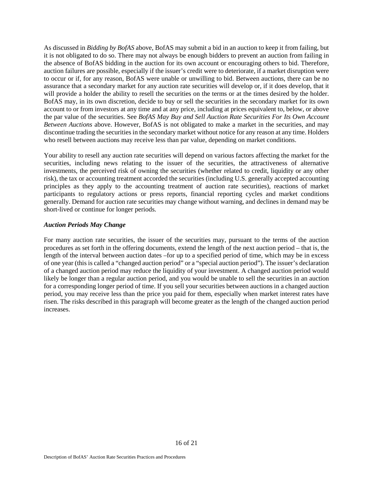As discussed in *Bidding by BofAS* above, BofAS may submit a bid in an auction to keep it from failing, but it is not obligated to do so. There may not always be enough bidders to prevent an auction from failing in the absence of BofAS bidding in the auction for its own account or encouraging others to bid. Therefore, auction failures are possible, especially if the issuer's credit were to deteriorate, if a market disruption were to occur or if, for any reason, BofAS were unable or unwilling to bid. Between auctions, there can be no assurance that a secondary market for any auction rate securities will develop or, if it does develop, that it will provide a holder the ability to resell the securities on the terms or at the times desired by the holder. BofAS may, in its own discretion, decide to buy or sell the securities in the secondary market for its own account to or from investors at any time and at any price, including at prices equivalent to, below, or above the par value of the securities. See *BofAS May Buy and Sell Auction Rate Securities For Its Own Account Between Auctions* above. However, BofAS is not obligated to make a market in the securities, and may discontinue trading the securities in the secondary market without notice for any reason at any time. Holders who resell between auctions may receive less than par value, depending on market conditions.

Your ability to resell any auction rate securities will depend on various factors affecting the market for the securities, including news relating to the issuer of the securities, the attractiveness of alternative investments, the perceived risk of owning the securities (whether related to credit, liquidity or any other risk), the tax or accounting treatment accorded the securities (including U.S. generally accepted accounting principles as they apply to the accounting treatment of auction rate securities), reactions of market participants to regulatory actions or press reports, financial reporting cycles and market conditions generally. Demand for auction rate securities may change without warning, and declines in demand may be short-lived or continue for longer periods.

#### *Auction Periods May Change*

For many auction rate securities, the issuer of the securities may, pursuant to the terms of the auction procedures as set forth in the offering documents, extend the length of the next auction period – that is, the length of the interval between auction dates –for up to a specified period of time, which may be in excess of one year (this is called a "changed auction period" or a "special auction period"). The issuer's declaration of a changed auction period may reduce the liquidity of your investment. A changed auction period would likely be longer than a regular auction period, and you would be unable to sell the securities in an auction for a corresponding longer period of time. If you sell your securities between auctions in a changed auction period, you may receive less than the price you paid for them, especially when market interest rates have risen. The risks described in this paragraph will become greater as the length of the changed auction period increases.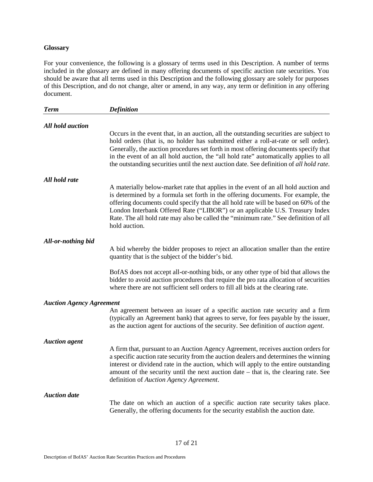### **Glossary**

For your convenience, the following is a glossary of terms used in this Description. A number of terms included in the glossary are defined in many offering documents of specific auction rate securities. You should be aware that all terms used in this Description and the following glossary are solely for purposes of this Description, and do not change, alter or amend, in any way, any term or definition in any offering document.

| <b>Term</b>                     | <b>Definition</b>                                                                                                                                                                                                                                                                                                                                                                                                                                         |
|---------------------------------|-----------------------------------------------------------------------------------------------------------------------------------------------------------------------------------------------------------------------------------------------------------------------------------------------------------------------------------------------------------------------------------------------------------------------------------------------------------|
| <b>All hold auction</b>         |                                                                                                                                                                                                                                                                                                                                                                                                                                                           |
|                                 | Occurs in the event that, in an auction, all the outstanding securities are subject to<br>hold orders (that is, no holder has submitted either a roll-at-rate or sell order).<br>Generally, the auction procedures set forth in most offering documents specify that<br>in the event of an all hold auction, the "all hold rate" automatically applies to all<br>the outstanding securities until the next auction date. See definition of all hold rate. |
| All hold rate                   |                                                                                                                                                                                                                                                                                                                                                                                                                                                           |
|                                 | A materially below-market rate that applies in the event of an all hold auction and<br>is determined by a formula set forth in the offering documents. For example, the<br>offering documents could specify that the all hold rate will be based on 60% of the<br>London Interbank Offered Rate ("LIBOR") or an applicable U.S. Treasury Index<br>Rate. The all hold rate may also be called the "minimum rate." See definition of all<br>hold auction.   |
| All-or-nothing bid              |                                                                                                                                                                                                                                                                                                                                                                                                                                                           |
|                                 | A bid whereby the bidder proposes to reject an allocation smaller than the entire<br>quantity that is the subject of the bidder's bid.                                                                                                                                                                                                                                                                                                                    |
|                                 | BofAS does not accept all-or-nothing bids, or any other type of bid that allows the<br>bidder to avoid auction procedures that require the pro rata allocation of securities<br>where there are not sufficient sell orders to fill all bids at the clearing rate.                                                                                                                                                                                         |
| <b>Auction Agency Agreement</b> |                                                                                                                                                                                                                                                                                                                                                                                                                                                           |
|                                 | An agreement between an issuer of a specific auction rate security and a firm<br>(typically an Agreement bank) that agrees to serve, for fees payable by the issuer,<br>as the auction agent for auctions of the security. See definition of <i>auction agent</i> .                                                                                                                                                                                       |
| <b>Auction</b> agent            |                                                                                                                                                                                                                                                                                                                                                                                                                                                           |
|                                 | A firm that, pursuant to an Auction Agency Agreement, receives auction orders for<br>a specific auction rate security from the auction dealers and determines the winning<br>interest or dividend rate in the auction, which will apply to the entire outstanding<br>amount of the security until the next auction date - that is, the clearing rate. See<br>definition of Auction Agency Agreement.                                                      |
| <b>Auction</b> date             |                                                                                                                                                                                                                                                                                                                                                                                                                                                           |
|                                 | The date on which an auction of a specific auction rate security takes place.<br>Generally, the offering documents for the security establish the auction date.                                                                                                                                                                                                                                                                                           |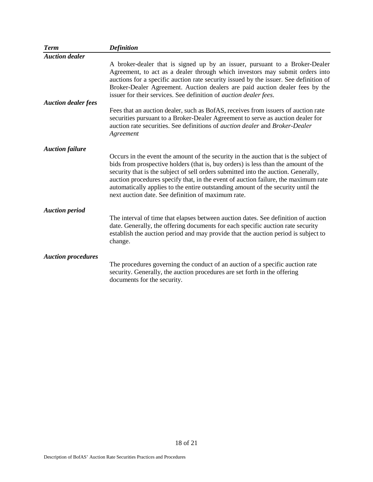| <b>Term</b>                | <b>Definition</b>                                                                                                                                                                                                                                                                                                                                                                                                                                                                                |
|----------------------------|--------------------------------------------------------------------------------------------------------------------------------------------------------------------------------------------------------------------------------------------------------------------------------------------------------------------------------------------------------------------------------------------------------------------------------------------------------------------------------------------------|
| <b>Auction dealer</b>      |                                                                                                                                                                                                                                                                                                                                                                                                                                                                                                  |
|                            | A broker-dealer that is signed up by an issuer, pursuant to a Broker-Dealer<br>Agreement, to act as a dealer through which investors may submit orders into<br>auctions for a specific auction rate security issued by the issuer. See definition of<br>Broker-Dealer Agreement. Auction dealers are paid auction dealer fees by the<br>issuer for their services. See definition of <i>auction dealer fees</i> .                                                                                |
| <b>Auction dealer fees</b> |                                                                                                                                                                                                                                                                                                                                                                                                                                                                                                  |
|                            | Fees that an auction dealer, such as BofAS, receives from issuers of auction rate<br>securities pursuant to a Broker-Dealer Agreement to serve as auction dealer for<br>auction rate securities. See definitions of <i>auction dealer</i> and <i>Broker-Dealer</i><br>Agreement                                                                                                                                                                                                                  |
| <b>Auction failure</b>     |                                                                                                                                                                                                                                                                                                                                                                                                                                                                                                  |
|                            | Occurs in the event the amount of the security in the auction that is the subject of<br>bids from prospective holders (that is, buy orders) is less than the amount of the<br>security that is the subject of sell orders submitted into the auction. Generally,<br>auction procedures specify that, in the event of auction failure, the maximum rate<br>automatically applies to the entire outstanding amount of the security until the<br>next auction date. See definition of maximum rate. |
| <b>Auction period</b>      |                                                                                                                                                                                                                                                                                                                                                                                                                                                                                                  |
|                            | The interval of time that elapses between auction dates. See definition of auction<br>date. Generally, the offering documents for each specific auction rate security<br>establish the auction period and may provide that the auction period is subject to<br>change.                                                                                                                                                                                                                           |
| <b>Auction procedures</b>  |                                                                                                                                                                                                                                                                                                                                                                                                                                                                                                  |
|                            | The procedures governing the conduct of an auction of a specific auction rate<br>security. Generally, the auction procedures are set forth in the offering<br>documents for the security.                                                                                                                                                                                                                                                                                                        |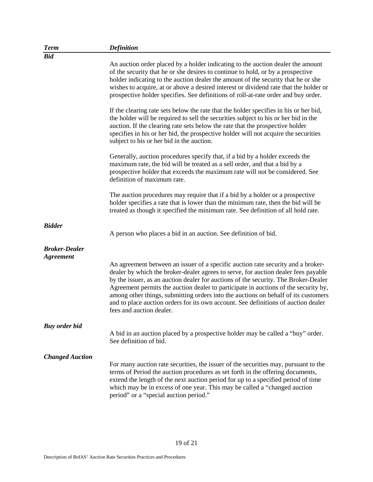| <b>Term</b>                              | <b>Definition</b>                                                                                                                                                                                                                                                                                                                                                                                                                                                                                                                                            |
|------------------------------------------|--------------------------------------------------------------------------------------------------------------------------------------------------------------------------------------------------------------------------------------------------------------------------------------------------------------------------------------------------------------------------------------------------------------------------------------------------------------------------------------------------------------------------------------------------------------|
| <b>Bid</b>                               |                                                                                                                                                                                                                                                                                                                                                                                                                                                                                                                                                              |
|                                          | An auction order placed by a holder indicating to the auction dealer the amount<br>of the security that he or she desires to continue to hold, or by a prospective<br>holder indicating to the auction dealer the amount of the security that he or she<br>wishes to acquire, at or above a desired interest or dividend rate that the holder or<br>prospective holder specifies. See definitions of roll-at-rate order and buy order.                                                                                                                       |
|                                          | If the clearing rate sets below the rate that the holder specifies in his or her bid,<br>the holder will be required to sell the securities subject to his or her bid in the<br>auction. If the clearing rate sets below the rate that the prospective holder<br>specifies in his or her bid, the prospective holder will not acquire the securities<br>subject to his or her bid in the auction.                                                                                                                                                            |
|                                          | Generally, auction procedures specify that, if a bid by a holder exceeds the<br>maximum rate, the bid will be treated as a sell order, and that a bid by a<br>prospective holder that exceeds the maximum rate will not be considered. See<br>definition of maximum rate.                                                                                                                                                                                                                                                                                    |
|                                          | The auction procedures may require that if a bid by a holder or a prospective<br>holder specifies a rate that is lower than the minimum rate, then the bid will be<br>treated as though it specified the minimum rate. See definition of all hold rate.                                                                                                                                                                                                                                                                                                      |
| <b>Bidder</b>                            | A person who places a bid in an auction. See definition of bid.                                                                                                                                                                                                                                                                                                                                                                                                                                                                                              |
| <b>Broker-Dealer</b><br><b>Agreement</b> |                                                                                                                                                                                                                                                                                                                                                                                                                                                                                                                                                              |
|                                          | An agreement between an issuer of a specific auction rate security and a broker-<br>dealer by which the broker-dealer agrees to serve, for auction dealer fees payable<br>by the issuer, as an auction dealer for auctions of the security. The Broker-Dealer<br>Agreement permits the auction dealer to participate in auctions of the security by,<br>among other things, submitting orders into the auctions on behalf of its customers<br>and to place auction orders for its own account. See definitions of auction dealer<br>fees and auction dealer. |
| <b>Buy order bid</b>                     |                                                                                                                                                                                                                                                                                                                                                                                                                                                                                                                                                              |
|                                          | A bid in an auction placed by a prospective holder may be called a "buy" order.<br>See definition of bid.                                                                                                                                                                                                                                                                                                                                                                                                                                                    |
| <b>Changed Auction</b>                   | For many auction rate securities, the issuer of the securities may, pursuant to the<br>terms of Period the auction procedures as set forth in the offering documents,<br>extend the length of the next auction period for up to a specified period of time<br>which may be in excess of one year. This may be called a "changed auction"<br>period" or a "special auction period."                                                                                                                                                                           |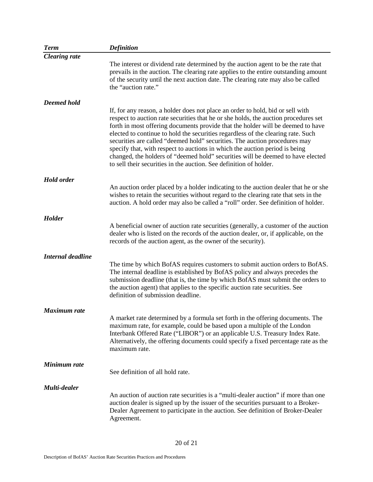| <b>Term</b>              | <b>Definition</b>                                                                                                                                                                                                                                                                                                                                                                                                                                                                                                                                                                                                                                                  |
|--------------------------|--------------------------------------------------------------------------------------------------------------------------------------------------------------------------------------------------------------------------------------------------------------------------------------------------------------------------------------------------------------------------------------------------------------------------------------------------------------------------------------------------------------------------------------------------------------------------------------------------------------------------------------------------------------------|
| <b>Clearing rate</b>     |                                                                                                                                                                                                                                                                                                                                                                                                                                                                                                                                                                                                                                                                    |
|                          | The interest or dividend rate determined by the auction agent to be the rate that<br>prevails in the auction. The clearing rate applies to the entire outstanding amount<br>of the security until the next auction date. The clearing rate may also be called<br>the "auction rate."                                                                                                                                                                                                                                                                                                                                                                               |
| Deemed hold              |                                                                                                                                                                                                                                                                                                                                                                                                                                                                                                                                                                                                                                                                    |
|                          | If, for any reason, a holder does not place an order to hold, bid or sell with<br>respect to auction rate securities that he or she holds, the auction procedures set<br>forth in most offering documents provide that the holder will be deemed to have<br>elected to continue to hold the securities regardless of the clearing rate. Such<br>securities are called "deemed hold" securities. The auction procedures may<br>specify that, with respect to auctions in which the auction period is being<br>changed, the holders of "deemed hold" securities will be deemed to have elected<br>to sell their securities in the auction. See definition of holder. |
| <b>Hold order</b>        |                                                                                                                                                                                                                                                                                                                                                                                                                                                                                                                                                                                                                                                                    |
|                          | An auction order placed by a holder indicating to the auction dealer that he or she<br>wishes to retain the securities without regard to the clearing rate that sets in the<br>auction. A hold order may also be called a "roll" order. See definition of holder.                                                                                                                                                                                                                                                                                                                                                                                                  |
| Holder                   |                                                                                                                                                                                                                                                                                                                                                                                                                                                                                                                                                                                                                                                                    |
|                          | A beneficial owner of auction rate securities (generally, a customer of the auction<br>dealer who is listed on the records of the auction dealer, or, if applicable, on the<br>records of the auction agent, as the owner of the security).                                                                                                                                                                                                                                                                                                                                                                                                                        |
| <b>Internal deadline</b> |                                                                                                                                                                                                                                                                                                                                                                                                                                                                                                                                                                                                                                                                    |
|                          | The time by which BofAS requires customers to submit auction orders to BofAS.<br>The internal deadline is established by BofAS policy and always precedes the<br>submission deadline (that is, the time by which BofAS must submit the orders to<br>the auction agent) that applies to the specific auction rate securities. See<br>definition of submission deadline.                                                                                                                                                                                                                                                                                             |
| <b>Maximum</b> rate      |                                                                                                                                                                                                                                                                                                                                                                                                                                                                                                                                                                                                                                                                    |
|                          | A market rate determined by a formula set forth in the offering documents. The<br>maximum rate, for example, could be based upon a multiple of the London<br>Interbank Offered Rate ("LIBOR") or an applicable U.S. Treasury Index Rate.<br>Alternatively, the offering documents could specify a fixed percentage rate as the<br>maximum rate.                                                                                                                                                                                                                                                                                                                    |
| Minimum rate             |                                                                                                                                                                                                                                                                                                                                                                                                                                                                                                                                                                                                                                                                    |
|                          | See definition of all hold rate.                                                                                                                                                                                                                                                                                                                                                                                                                                                                                                                                                                                                                                   |
| Multi-dealer             |                                                                                                                                                                                                                                                                                                                                                                                                                                                                                                                                                                                                                                                                    |
|                          | An auction of auction rate securities is a "multi-dealer auction" if more than one<br>auction dealer is signed up by the issuer of the securities pursuant to a Broker-<br>Dealer Agreement to participate in the auction. See definition of Broker-Dealer<br>Agreement.                                                                                                                                                                                                                                                                                                                                                                                           |